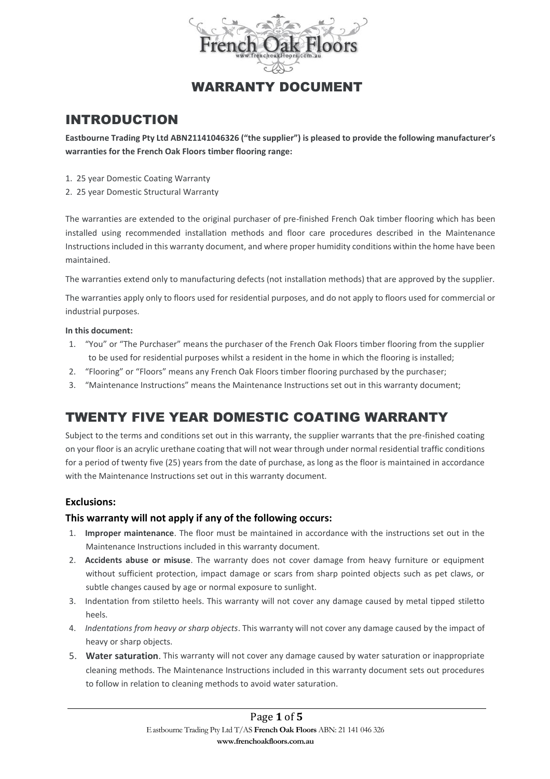

## WARRANTY DOCUMENT

## INTRODUCTION

**Eastbourne Trading Pty Ltd ABN21141046326 ("the supplier") is pleased to provide the following manufacturer's warranties for the French Oak Floors timber flooring range:**

- 1. 25 year Domestic Coating Warranty
- 2. 25 year Domestic Structural Warranty

The warranties are extended to the original purchaser of pre-finished French Oak timber flooring which has been installed using recommended installation methods and floor care procedures described in the Maintenance Instructions included in this warranty document, and where proper humidity conditions within the home have been maintained.

The warranties extend only to manufacturing defects (not installation methods) that are approved by the supplier.

The warranties apply only to floors used for residential purposes, and do not apply to floors used for commercial or industrial purposes.

#### **In this document:**

- 1. "You" or "The Purchaser" means the purchaser of the French Oak Floors timber flooring from the supplier to be used for residential purposes whilst a resident in the home in which the flooring is installed;
- 2. "Flooring" or "Floors" means any French Oak Floors timber flooring purchased by the purchaser;
- 3. "Maintenance Instructions" means the Maintenance Instructions set out in this warranty document;

# TWENTY FIVE YEAR DOMESTIC COATING WARRANTY

Subject to the terms and conditions set out in this warranty, the supplier warrants that the pre-finished coating on your floor is an acrylic urethane coating that will not wear through under normal residential traffic conditions for a period of twenty five (25) years from the date of purchase, as long as the floor is maintained in accordance with the Maintenance Instructions set out in this warranty document.

### **Exclusions:**

### **This warranty will not apply if any of the following occurs:**

- 1. **Improper maintenance**. The floor must be maintained in accordance with the instructions set out in the Maintenance Instructions included in this warranty document.
- 2. **Accidents abuse or misuse**. The warranty does not cover damage from heavy furniture or equipment without sufficient protection, impact damage or scars from sharp pointed objects such as pet claws, or subtle changes caused by age or normal exposure to sunlight.
- 3. Indentation from stiletto heels. This warranty will not cover any damage caused by metal tipped stiletto heels.
- 4. *Indentations from heavy or sharp objects*. This warranty will not cover any damage caused by the impact of heavy or sharp objects.
- 5. **Water saturation**. This warranty will not cover any damage caused by water saturation or inappropriate cleaning methods. The Maintenance Instructions included in this warranty document sets out procedures to follow in relation to cleaning methods to avoid water saturation.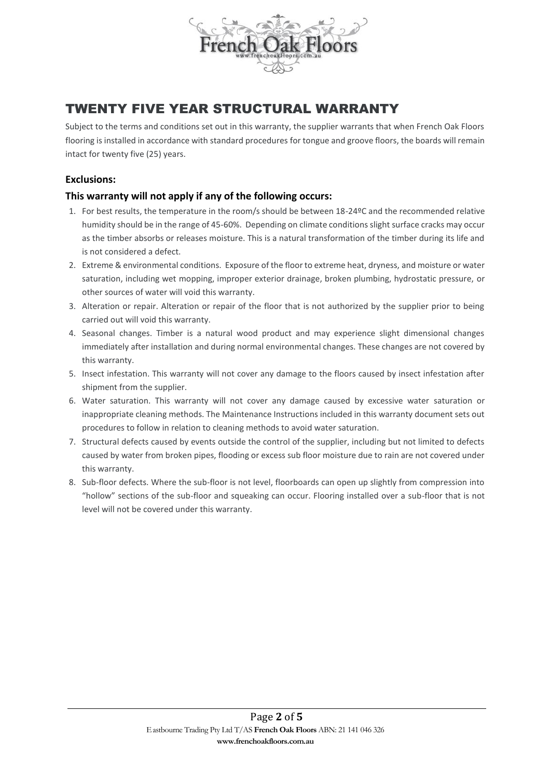

## TWENTY FIVE YEAR STRUCTURAL WARRANTY

Subject to the terms and conditions set out in this warranty, the supplier warrants that when French Oak Floors flooring is installed in accordance with standard procedures for tongue and groove floors, the boards will remain intact for twenty five (25) years.

### **Exclusions:**

### **This warranty will not apply if any of the following occurs:**

- 1. For best results, the temperature in the room/s should be between 18-24ºC and the recommended relative humidity should be in the range of 45-60%. Depending on climate conditions slight surface cracks may occur as the timber absorbs or releases moisture. This is a natural transformation of the timber during its life and is not considered a defect.
- 2. Extreme & environmental conditions. Exposure of the floor to extreme heat, dryness, and moisture or water saturation, including wet mopping, improper exterior drainage, broken plumbing, hydrostatic pressure, or other sources of water will void this warranty.
- 3. Alteration or repair. Alteration or repair of the floor that is not authorized by the supplier prior to being carried out will void this warranty.
- 4. Seasonal changes. Timber is a natural wood product and may experience slight dimensional changes immediately after installation and during normal environmental changes. These changes are not covered by this warranty.
- 5. Insect infestation. This warranty will not cover any damage to the floors caused by insect infestation after shipment from the supplier.
- 6. Water saturation. This warranty will not cover any damage caused by excessive water saturation or inappropriate cleaning methods. The Maintenance Instructions included in this warranty document sets out procedures to follow in relation to cleaning methods to avoid water saturation.
- 7. Structural defects caused by events outside the control of the supplier, including but not limited to defects caused by water from broken pipes, flooding or excess sub floor moisture due to rain are not covered under this warranty.
- 8. Sub-floor defects. Where the sub-floor is not level, floorboards can open up slightly from compression into "hollow" sections of the sub-floor and squeaking can occur. Flooring installed over a sub-floor that is not level will not be covered under this warranty.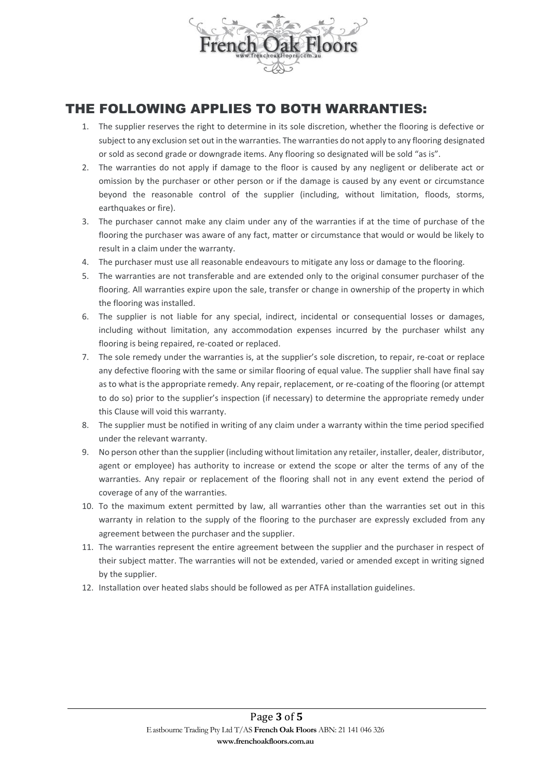

## THE FOLLOWING APPLIES TO BOTH WARRANTIES:

- 1. The supplier reserves the right to determine in its sole discretion, whether the flooring is defective or subject to any exclusion set out in the warranties. The warranties do not apply to any flooring designated or sold as second grade or downgrade items. Any flooring so designated will be sold "as is".
- 2. The warranties do not apply if damage to the floor is caused by any negligent or deliberate act or omission by the purchaser or other person or if the damage is caused by any event or circumstance beyond the reasonable control of the supplier (including, without limitation, floods, storms, earthquakes or fire).
- 3. The purchaser cannot make any claim under any of the warranties if at the time of purchase of the flooring the purchaser was aware of any fact, matter or circumstance that would or would be likely to result in a claim under the warranty.
- 4. The purchaser must use all reasonable endeavours to mitigate any loss or damage to the flooring.
- 5. The warranties are not transferable and are extended only to the original consumer purchaser of the flooring. All warranties expire upon the sale, transfer or change in ownership of the property in which the flooring was installed.
- 6. The supplier is not liable for any special, indirect, incidental or consequential losses or damages, including without limitation, any accommodation expenses incurred by the purchaser whilst any flooring is being repaired, re-coated or replaced.
- 7. The sole remedy under the warranties is, at the supplier's sole discretion, to repair, re-coat or replace any defective flooring with the same or similar flooring of equal value. The supplier shall have final say as to what is the appropriate remedy. Any repair, replacement, or re-coating of the flooring (or attempt to do so) prior to the supplier's inspection (if necessary) to determine the appropriate remedy under this Clause will void this warranty.
- 8. The supplier must be notified in writing of any claim under a warranty within the time period specified under the relevant warranty.
- 9. No person other than the supplier (including without limitation any retailer, installer, dealer, distributor, agent or employee) has authority to increase or extend the scope or alter the terms of any of the warranties. Any repair or replacement of the flooring shall not in any event extend the period of coverage of any of the warranties.
- 10. To the maximum extent permitted by law, all warranties other than the warranties set out in this warranty in relation to the supply of the flooring to the purchaser are expressly excluded from any agreement between the purchaser and the supplier.
- 11. The warranties represent the entire agreement between the supplier and the purchaser in respect of their subject matter. The warranties will not be extended, varied or amended except in writing signed by the supplier.
- 12. Installation over heated slabs should be followed as per ATFA installation guidelines.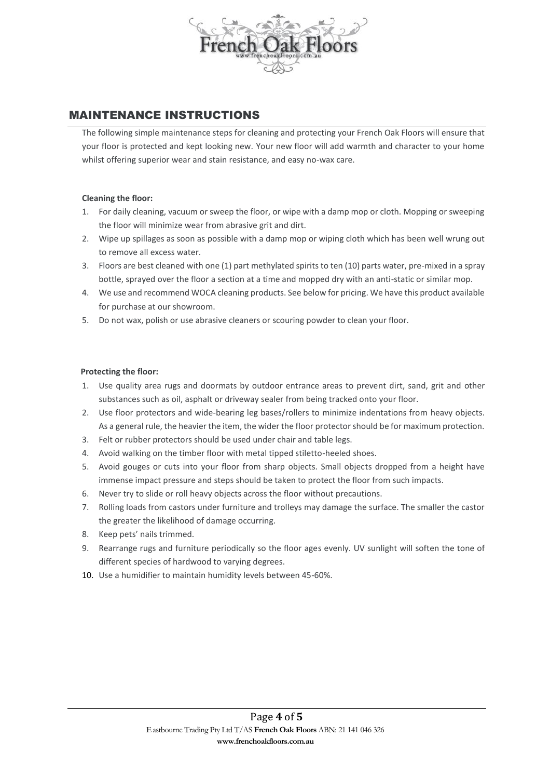

## MAINTENANCE INSTRUCTIONS

The following simple maintenance steps for cleaning and protecting your French Oak Floors will ensure that your floor is protected and kept looking new. Your new floor will add warmth and character to your home whilst offering superior wear and stain resistance, and easy no-wax care.

#### **Cleaning the floor:**

- 1. For daily cleaning, vacuum or sweep the floor, or wipe with a damp mop or cloth. Mopping or sweeping the floor will minimize wear from abrasive grit and dirt.
- 2. Wipe up spillages as soon as possible with a damp mop or wiping cloth which has been well wrung out to remove all excess water.
- 3. Floors are best cleaned with one (1) part methylated spirits to ten (10) parts water, pre-mixed in a spray bottle, sprayed over the floor a section at a time and mopped dry with an anti-static or similar mop.
- 4. We use and recommend WOCA cleaning products. See below for pricing. We have this product available for purchase at our showroom.
- 5. Do not wax, polish or use abrasive cleaners or scouring powder to clean your floor.

#### **Protecting the floor:**

- 1. Use quality area rugs and doormats by outdoor entrance areas to prevent dirt, sand, grit and other substances such as oil, asphalt or driveway sealer from being tracked onto your floor.
- 2. Use floor protectors and wide-bearing leg bases/rollers to minimize indentations from heavy objects. As a general rule, the heavier the item, the wider the floor protector should be for maximum protection.
- 3. Felt or rubber protectors should be used under chair and table legs.
- 4. Avoid walking on the timber floor with metal tipped stiletto-heeled shoes.
- 5. Avoid gouges or cuts into your floor from sharp objects. Small objects dropped from a height have immense impact pressure and steps should be taken to protect the floor from such impacts.
- 6. Never try to slide or roll heavy objects across the floor without precautions.
- 7. Rolling loads from castors under furniture and trolleys may damage the surface. The smaller the castor the greater the likelihood of damage occurring.
- 8. Keep pets' nails trimmed.
- 9. Rearrange rugs and furniture periodically so the floor ages evenly. UV sunlight will soften the tone of different species of hardwood to varying degrees.
- 10. Use a humidifier to maintain humidity levels between 45-60%.